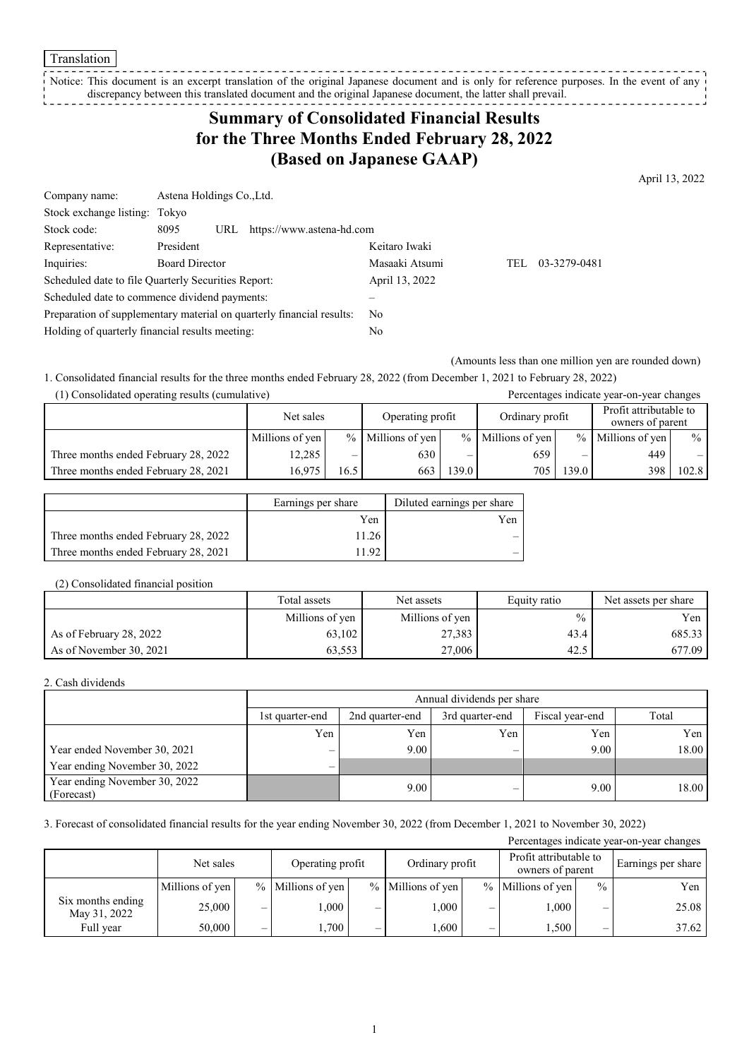#### Translation

Notice: This document is an excerpt translation of the original Japanese document and is only for reference purposes. In the event of any discrepancy between this translated document and the original Japanese document, the latter shall prevail. -----------

## **Summary of Consolidated Financial Results for the Three Months Ended February 28, 2022 (Based on Japanese GAAP)**

April 13, 2022

| Company name:                                   | Astena Holdings Co., Ltd.                                             |                |     |              |  |  |
|-------------------------------------------------|-----------------------------------------------------------------------|----------------|-----|--------------|--|--|
| Stock exchange listing: Tokyo                   |                                                                       |                |     |              |  |  |
| Stock code:                                     | https://www.astena-hd.com<br>8095<br>URL                              |                |     |              |  |  |
| Representative:                                 | President                                                             | Keitaro Iwaki  |     |              |  |  |
| Inquiries:                                      | <b>Board Director</b>                                                 | Masaaki Atsumi | TEL | 03-3279-0481 |  |  |
|                                                 | Scheduled date to file Quarterly Securities Report:                   | April 13, 2022 |     |              |  |  |
|                                                 | Scheduled date to commence dividend payments:                         |                |     |              |  |  |
|                                                 | Preparation of supplementary material on quarterly financial results: | No.            |     |              |  |  |
| Holding of quarterly financial results meeting: |                                                                       | No             |     |              |  |  |

(Amounts less than one million yen are rounded down)

1. Consolidated financial results for the three months ended February 28, 2022 (from December 1, 2021 to February 28, 2022) (1) Consolidated operating results (cumulative) Percentages indicate year-on-year changes

| $(1)$ consolidated operating results (cumulative)<br>I creentages mercure year on year enanges |                 |      |                     |       |                     |       |                                            |       |
|------------------------------------------------------------------------------------------------|-----------------|------|---------------------|-------|---------------------|-------|--------------------------------------------|-------|
|                                                                                                | Net sales       |      | Operating profit    |       | Ordinary profit     |       | Profit attributable to<br>owners of parent |       |
|                                                                                                | Millions of yen |      | $%$ Millions of yen |       | $%$ Millions of yen |       | % Millions of yen                          | $\%$  |
| Three months ended February 28, 2022                                                           | 12,285          |      | 630                 | _     | 659                 |       | 449                                        | $-1$  |
| Three months ended February 28, 2021                                                           | 16.975          | 16.5 | 663                 | 139.0 | 705                 | 139.0 | 398                                        | 102.8 |

|                                      | Earnings per share | Diluted earnings per share |
|--------------------------------------|--------------------|----------------------------|
|                                      | Yen                | Yen                        |
| Three months ended February 28, 2022 | 11.26              |                            |
| Three months ended February 28, 2021 | 192                |                            |

### (2) Consolidated financial position

|                         | Total assets    | Net assets      | Equity ratio  | Net assets per share |
|-------------------------|-----------------|-----------------|---------------|----------------------|
|                         | Millions of yen | Millions of yen | $\frac{0}{0}$ | Yen                  |
| As of February 28, 2022 | 63.102          | 27,383          | 43.4          | 685.33               |
| As of November 30, 2021 | 63,553          | 27,006          | 42.5          | 677.09               |

### 2. Cash dividends

|                                             |                          | Annual dividends per share |                 |                 |       |  |  |  |
|---------------------------------------------|--------------------------|----------------------------|-----------------|-----------------|-------|--|--|--|
|                                             | 1st quarter-end          | 2nd quarter-end            | 3rd quarter-end | Fiscal year-end | Total |  |  |  |
|                                             | Yen                      | Yen                        | Yen             | Yen             | Yen   |  |  |  |
| Year ended November 30, 2021                | $\overline{\phantom{0}}$ | 9.00                       |                 | 9.00            | 18.00 |  |  |  |
| Year ending November 30, 2022               | $\overline{\phantom{0}}$ |                            |                 |                 |       |  |  |  |
| Year ending November 30, 2022<br>(Forecast) |                          | 9.00                       | –               | 9.00            | 18.00 |  |  |  |

3. Forecast of consolidated financial results for the year ending November 30, 2022 (from December 1, 2021 to November 30, 2022)

| Percentages indicate year-on-year changes |                 |                                                                                   |                   |   |                   |   |                    |               |       |
|-------------------------------------------|-----------------|-----------------------------------------------------------------------------------|-------------------|---|-------------------|---|--------------------|---------------|-------|
|                                           | Net sales       | Profit attributable to<br>Ordinary profit<br>Operating profit<br>owners of parent |                   |   |                   |   | Earnings per share |               |       |
|                                           | Millions of yen |                                                                                   | % Millions of yen |   | % Millions of yen |   | % Millions of yen  | $\frac{0}{0}$ | Yen   |
| Six months ending<br>May 31, 2022         | 25,000          | —                                                                                 | 000.1             | _ | 000.              | — | 1,000              | -             | 25.08 |
| Full year                                 | 50.000          |                                                                                   | 1.700             |   | .600              | — | 1,500              |               | 37.62 |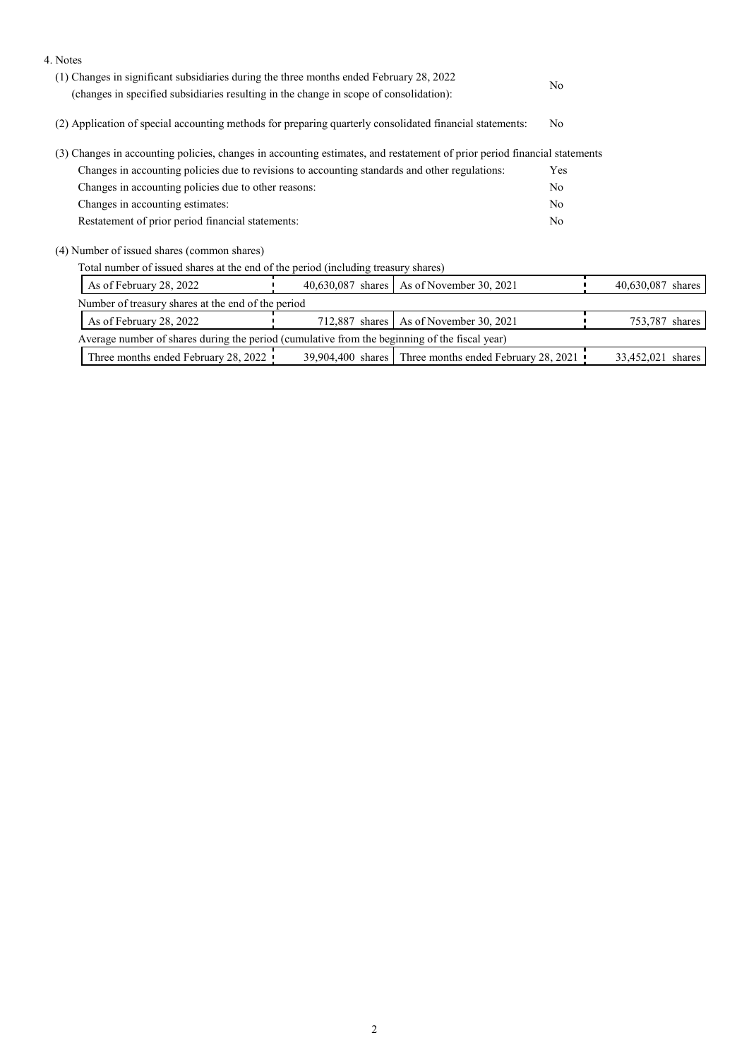| 4. Notes                                                                                                                  |                   |                                                          |     |                   |
|---------------------------------------------------------------------------------------------------------------------------|-------------------|----------------------------------------------------------|-----|-------------------|
| (1) Changes in significant subsidiaries during the three months ended February 28, 2022                                   | No.               |                                                          |     |                   |
| (changes in specified subsidiaries resulting in the change in scope of consolidation):                                    |                   |                                                          |     |                   |
| (2) Application of special accounting methods for preparing quarterly consolidated financial statements:                  |                   |                                                          |     |                   |
| (3) Changes in accounting policies, changes in accounting estimates, and restatement of prior period financial statements |                   |                                                          |     |                   |
| Changes in accounting policies due to revisions to accounting standards and other regulations:                            |                   |                                                          | Yes |                   |
| Changes in accounting policies due to other reasons:                                                                      |                   |                                                          |     |                   |
| Changes in accounting estimates:                                                                                          |                   |                                                          |     |                   |
| Restatement of prior period financial statements:                                                                         |                   |                                                          |     |                   |
| (4) Number of issued shares (common shares)                                                                               |                   |                                                          |     |                   |
| Total number of issued shares at the end of the period (including treasury shares)                                        |                   |                                                          |     |                   |
| As of February 28, 2022                                                                                                   | 40,630,087 shares | As of November 30, 2021                                  |     | 40,630,087 shares |
| Number of treasury shares at the end of the period                                                                        |                   |                                                          |     |                   |
| As of February 28, 2022                                                                                                   | 712,887 shares    | As of November 30, 2021                                  |     | 753,787 shares    |
| Average number of shares during the period (cumulative from the beginning of the fiscal year)                             |                   |                                                          |     |                   |
| Three months ended February 28, 2022                                                                                      |                   | 39,904,400 shares   Three months ended February 28, 2021 |     | 33,452,021 shares |
|                                                                                                                           |                   |                                                          |     |                   |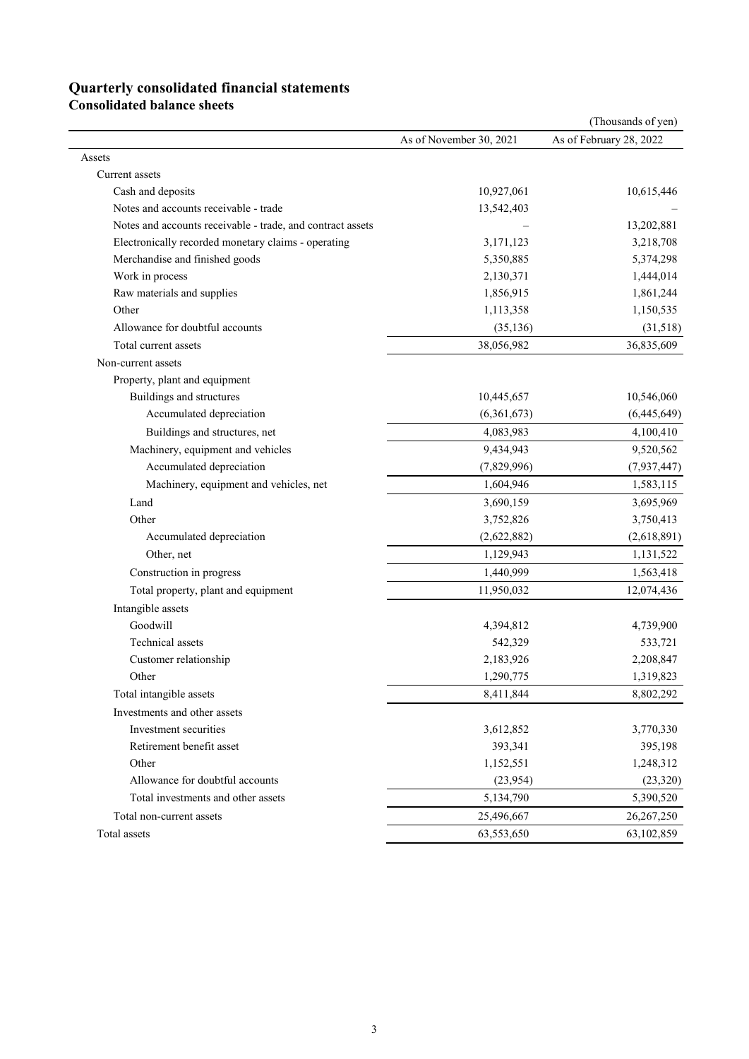# **Quarterly consolidated financial statements**

**Consolidated balance sheets** 

|                                                            |                         | (Thousands of yen)      |
|------------------------------------------------------------|-------------------------|-------------------------|
|                                                            | As of November 30, 2021 | As of February 28, 2022 |
| Assets                                                     |                         |                         |
| Current assets                                             |                         |                         |
| Cash and deposits                                          | 10,927,061              | 10,615,446              |
| Notes and accounts receivable - trade                      | 13,542,403              |                         |
| Notes and accounts receivable - trade, and contract assets |                         | 13,202,881              |
| Electronically recorded monetary claims - operating        | 3,171,123               | 3,218,708               |
| Merchandise and finished goods                             | 5,350,885               | 5,374,298               |
| Work in process                                            | 2,130,371               | 1,444,014               |
| Raw materials and supplies                                 | 1,856,915               | 1,861,244               |
| Other                                                      | 1,113,358               | 1,150,535               |
| Allowance for doubtful accounts                            | (35, 136)               | (31,518)                |
| Total current assets                                       | 38,056,982              | 36,835,609              |
| Non-current assets                                         |                         |                         |
| Property, plant and equipment                              |                         |                         |
| Buildings and structures                                   | 10,445,657              | 10,546,060              |
| Accumulated depreciation                                   | (6,361,673)             | (6,445,649)             |
| Buildings and structures, net                              | 4,083,983               | 4,100,410               |
| Machinery, equipment and vehicles                          | 9,434,943               | 9,520,562               |
| Accumulated depreciation                                   | (7,829,996)             | (7,937,447)             |
| Machinery, equipment and vehicles, net                     | 1,604,946               | 1,583,115               |
| Land                                                       | 3,690,159               | 3,695,969               |
| Other                                                      | 3,752,826               | 3,750,413               |
| Accumulated depreciation                                   | (2,622,882)             | (2,618,891)             |
| Other, net                                                 | 1,129,943               | 1,131,522               |
| Construction in progress                                   | 1,440,999               | 1,563,418               |
| Total property, plant and equipment                        | 11,950,032              | 12,074,436              |
| Intangible assets                                          |                         |                         |
| Goodwill                                                   | 4,394,812               | 4,739,900               |
| <b>Technical</b> assets                                    | 542,329                 | 533,721                 |
| Customer relationship                                      | 2,183,926               | 2,208,847               |
| Other                                                      | 1,290,775               | 1,319,823               |
| Total intangible assets                                    | 8,411,844               | 8,802,292               |
| Investments and other assets                               |                         |                         |
| Investment securities                                      | 3,612,852               | 3,770,330               |
| Retirement benefit asset                                   | 393,341                 | 395,198                 |
| Other                                                      | 1,152,551               | 1,248,312               |
| Allowance for doubtful accounts                            | (23,954)                | (23, 320)               |
| Total investments and other assets                         | 5,134,790               | 5,390,520               |
| Total non-current assets                                   | 25,496,667              | 26,267,250              |
| Total assets                                               | 63,553,650              | 63,102,859              |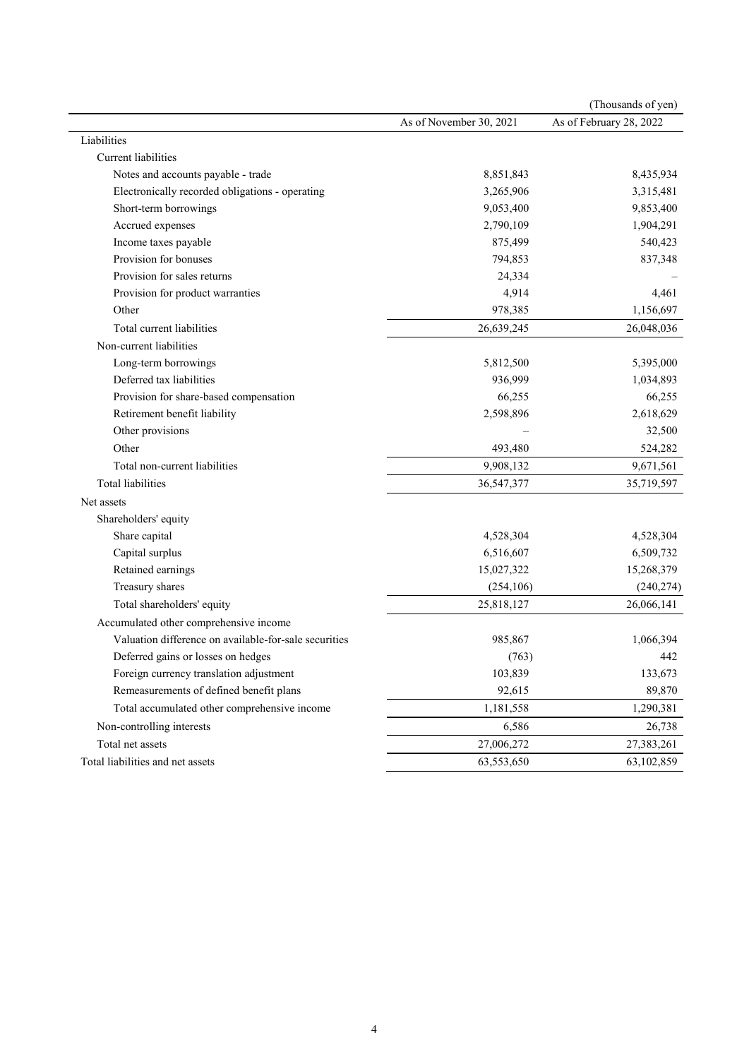| As of November 30, 2021<br>As of February 28, 2022<br>Liabilities<br><b>Current liabilities</b><br>Notes and accounts payable - trade<br>8,851,843<br>8,435,934<br>Electronically recorded obligations - operating<br>3,265,906<br>3,315,481<br>Short-term borrowings<br>9,053,400<br>9,853,400<br>Accrued expenses<br>2,790,109<br>1,904,291<br>Income taxes payable<br>540,423<br>875,499<br>Provision for bonuses<br>794,853<br>837,348<br>Provision for sales returns<br>24,334<br>4,914<br>Provision for product warranties<br>4,461<br>978,385<br>1,156,697<br>Other<br>Total current liabilities<br>26,639,245<br>26,048,036<br>Non-current liabilities<br>Long-term borrowings<br>5,812,500<br>5,395,000<br>Deferred tax liabilities<br>936,999<br>1,034,893<br>66,255<br>66,255<br>Provision for share-based compensation |
|------------------------------------------------------------------------------------------------------------------------------------------------------------------------------------------------------------------------------------------------------------------------------------------------------------------------------------------------------------------------------------------------------------------------------------------------------------------------------------------------------------------------------------------------------------------------------------------------------------------------------------------------------------------------------------------------------------------------------------------------------------------------------------------------------------------------------------|
|                                                                                                                                                                                                                                                                                                                                                                                                                                                                                                                                                                                                                                                                                                                                                                                                                                    |
|                                                                                                                                                                                                                                                                                                                                                                                                                                                                                                                                                                                                                                                                                                                                                                                                                                    |
|                                                                                                                                                                                                                                                                                                                                                                                                                                                                                                                                                                                                                                                                                                                                                                                                                                    |
|                                                                                                                                                                                                                                                                                                                                                                                                                                                                                                                                                                                                                                                                                                                                                                                                                                    |
|                                                                                                                                                                                                                                                                                                                                                                                                                                                                                                                                                                                                                                                                                                                                                                                                                                    |
|                                                                                                                                                                                                                                                                                                                                                                                                                                                                                                                                                                                                                                                                                                                                                                                                                                    |
|                                                                                                                                                                                                                                                                                                                                                                                                                                                                                                                                                                                                                                                                                                                                                                                                                                    |
|                                                                                                                                                                                                                                                                                                                                                                                                                                                                                                                                                                                                                                                                                                                                                                                                                                    |
|                                                                                                                                                                                                                                                                                                                                                                                                                                                                                                                                                                                                                                                                                                                                                                                                                                    |
|                                                                                                                                                                                                                                                                                                                                                                                                                                                                                                                                                                                                                                                                                                                                                                                                                                    |
|                                                                                                                                                                                                                                                                                                                                                                                                                                                                                                                                                                                                                                                                                                                                                                                                                                    |
|                                                                                                                                                                                                                                                                                                                                                                                                                                                                                                                                                                                                                                                                                                                                                                                                                                    |
|                                                                                                                                                                                                                                                                                                                                                                                                                                                                                                                                                                                                                                                                                                                                                                                                                                    |
|                                                                                                                                                                                                                                                                                                                                                                                                                                                                                                                                                                                                                                                                                                                                                                                                                                    |
|                                                                                                                                                                                                                                                                                                                                                                                                                                                                                                                                                                                                                                                                                                                                                                                                                                    |
|                                                                                                                                                                                                                                                                                                                                                                                                                                                                                                                                                                                                                                                                                                                                                                                                                                    |
|                                                                                                                                                                                                                                                                                                                                                                                                                                                                                                                                                                                                                                                                                                                                                                                                                                    |
| Retirement benefit liability<br>2,618,629<br>2,598,896                                                                                                                                                                                                                                                                                                                                                                                                                                                                                                                                                                                                                                                                                                                                                                             |
| Other provisions<br>32,500                                                                                                                                                                                                                                                                                                                                                                                                                                                                                                                                                                                                                                                                                                                                                                                                         |
| Other<br>493,480<br>524,282                                                                                                                                                                                                                                                                                                                                                                                                                                                                                                                                                                                                                                                                                                                                                                                                        |
| Total non-current liabilities<br>9,908,132<br>9,671,561                                                                                                                                                                                                                                                                                                                                                                                                                                                                                                                                                                                                                                                                                                                                                                            |
| <b>Total liabilities</b><br>36,547,377<br>35,719,597                                                                                                                                                                                                                                                                                                                                                                                                                                                                                                                                                                                                                                                                                                                                                                               |
| Net assets                                                                                                                                                                                                                                                                                                                                                                                                                                                                                                                                                                                                                                                                                                                                                                                                                         |
| Shareholders' equity                                                                                                                                                                                                                                                                                                                                                                                                                                                                                                                                                                                                                                                                                                                                                                                                               |
| Share capital<br>4,528,304<br>4,528,304                                                                                                                                                                                                                                                                                                                                                                                                                                                                                                                                                                                                                                                                                                                                                                                            |
| Capital surplus<br>6,516,607<br>6,509,732                                                                                                                                                                                                                                                                                                                                                                                                                                                                                                                                                                                                                                                                                                                                                                                          |
| Retained earnings<br>15,027,322<br>15,268,379                                                                                                                                                                                                                                                                                                                                                                                                                                                                                                                                                                                                                                                                                                                                                                                      |
| Treasury shares<br>(254, 106)<br>(240, 274)                                                                                                                                                                                                                                                                                                                                                                                                                                                                                                                                                                                                                                                                                                                                                                                        |
| Total shareholders' equity<br>25,818,127<br>26,066,141                                                                                                                                                                                                                                                                                                                                                                                                                                                                                                                                                                                                                                                                                                                                                                             |
| Accumulated other comprehensive income                                                                                                                                                                                                                                                                                                                                                                                                                                                                                                                                                                                                                                                                                                                                                                                             |
| Valuation difference on available-for-sale securities<br>985,867<br>1,066,394                                                                                                                                                                                                                                                                                                                                                                                                                                                                                                                                                                                                                                                                                                                                                      |
| Deferred gains or losses on hedges<br>(763)<br>442                                                                                                                                                                                                                                                                                                                                                                                                                                                                                                                                                                                                                                                                                                                                                                                 |
| 103,839<br>Foreign currency translation adjustment<br>133,673                                                                                                                                                                                                                                                                                                                                                                                                                                                                                                                                                                                                                                                                                                                                                                      |
| 92,615<br>89,870<br>Remeasurements of defined benefit plans                                                                                                                                                                                                                                                                                                                                                                                                                                                                                                                                                                                                                                                                                                                                                                        |
| Total accumulated other comprehensive income<br>1,290,381<br>1,181,558                                                                                                                                                                                                                                                                                                                                                                                                                                                                                                                                                                                                                                                                                                                                                             |
| Non-controlling interests<br>6,586<br>26,738                                                                                                                                                                                                                                                                                                                                                                                                                                                                                                                                                                                                                                                                                                                                                                                       |
| Total net assets<br>27,006,272<br>27,383,261                                                                                                                                                                                                                                                                                                                                                                                                                                                                                                                                                                                                                                                                                                                                                                                       |
| Total liabilities and net assets<br>63,553,650<br>63,102,859                                                                                                                                                                                                                                                                                                                                                                                                                                                                                                                                                                                                                                                                                                                                                                       |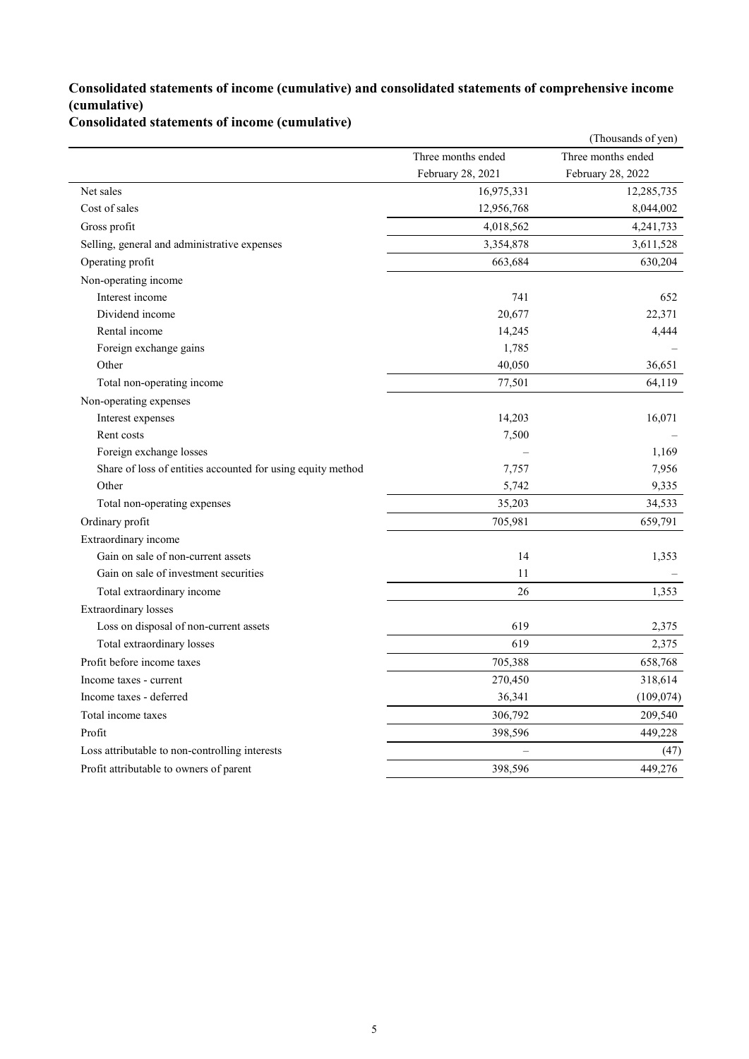### **Consolidated statements of income (cumulative) and consolidated statements of comprehensive income (cumulative)**

**Consolidated statements of income (cumulative)**

|                                                             |                    | (Thousands of yen) |
|-------------------------------------------------------------|--------------------|--------------------|
|                                                             | Three months ended | Three months ended |
|                                                             | February 28, 2021  | February 28, 2022  |
| Net sales                                                   | 16,975,331         | 12,285,735         |
| Cost of sales                                               | 12,956,768         | 8,044,002          |
| Gross profit                                                | 4,018,562          | 4,241,733          |
| Selling, general and administrative expenses                | 3,354,878          | 3,611,528          |
| Operating profit                                            | 663,684            | 630,204            |
| Non-operating income                                        |                    |                    |
| Interest income                                             | 741                | 652                |
| Dividend income                                             | 20,677             | 22,371             |
| Rental income                                               | 14,245             | 4,444              |
| Foreign exchange gains                                      | 1,785              |                    |
| Other                                                       | 40,050             | 36,651             |
| Total non-operating income                                  | 77,501             | 64,119             |
| Non-operating expenses                                      |                    |                    |
| Interest expenses                                           | 14,203             | 16,071             |
| Rent costs                                                  | 7,500              |                    |
| Foreign exchange losses                                     |                    | 1,169              |
| Share of loss of entities accounted for using equity method | 7,757              | 7,956              |
| Other                                                       | 5,742              | 9,335              |
| Total non-operating expenses                                | 35,203             | 34,533             |
| Ordinary profit                                             | 705,981            | 659,791            |
| Extraordinary income                                        |                    |                    |
| Gain on sale of non-current assets                          | 14                 | 1,353              |
| Gain on sale of investment securities                       | 11                 |                    |
| Total extraordinary income                                  | 26                 | 1,353              |
| <b>Extraordinary</b> losses                                 |                    |                    |
| Loss on disposal of non-current assets                      | 619                | 2,375              |
| Total extraordinary losses                                  | 619                | 2,375              |
| Profit before income taxes                                  | 705,388            | 658,768            |
| Income taxes - current                                      | 270,450            | 318,614            |
| Income taxes - deferred                                     | 36,341             | (109, 074)         |
| Total income taxes                                          | 306,792            | 209,540            |
| Profit                                                      | 398,596            | 449,228            |
| Loss attributable to non-controlling interests              |                    | (47)               |
| Profit attributable to owners of parent                     | 398,596            | 449,276            |